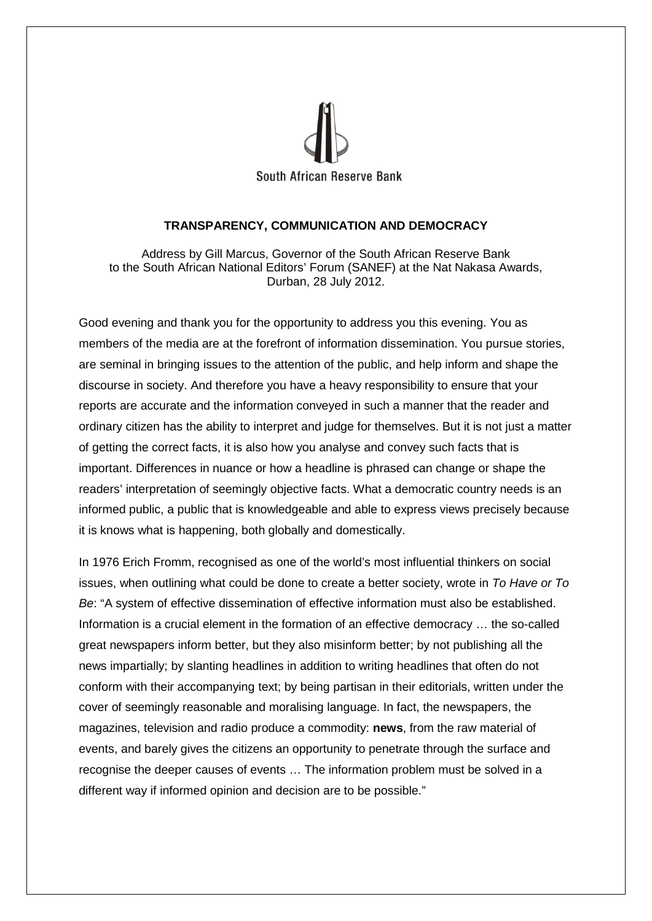

## **TRANSPARENCY, COMMUNICATION AND DEMOCRACY**

Address by Gill Marcus, Governor of the South African Reserve Bank to the South African National Editors' Forum (SANEF) at the Nat Nakasa Awards, Durban, 28 July 2012.

Good evening and thank you for the opportunity to address you this evening. You as members of the media are at the forefront of information dissemination. You pursue stories, are seminal in bringing issues to the attention of the public, and help inform and shape the discourse in society. And therefore you have a heavy responsibility to ensure that your reports are accurate and the information conveyed in such a manner that the reader and ordinary citizen has the ability to interpret and judge for themselves. But it is not just a matter of getting the correct facts, it is also how you analyse and convey such facts that is important. Differences in nuance or how a headline is phrased can change or shape the readers' interpretation of seemingly objective facts. What a democratic country needs is an informed public, a public that is knowledgeable and able to express views precisely because it is knows what is happening, both globally and domestically.

In 1976 Erich Fromm, recognised as one of the world's most influential thinkers on social issues, when outlining what could be done to create a better society, wrote in *To Have or To Be*: "A system of effective dissemination of effective information must also be established. Information is a crucial element in the formation of an effective democracy … the so-called great newspapers inform better, but they also misinform better; by not publishing all the news impartially; by slanting headlines in addition to writing headlines that often do not conform with their accompanying text; by being partisan in their editorials, written under the cover of seemingly reasonable and moralising language. In fact, the newspapers, the magazines, television and radio produce a commodity: **news**, from the raw material of events, and barely gives the citizens an opportunity to penetrate through the surface and recognise the deeper causes of events … The information problem must be solved in a different way if informed opinion and decision are to be possible."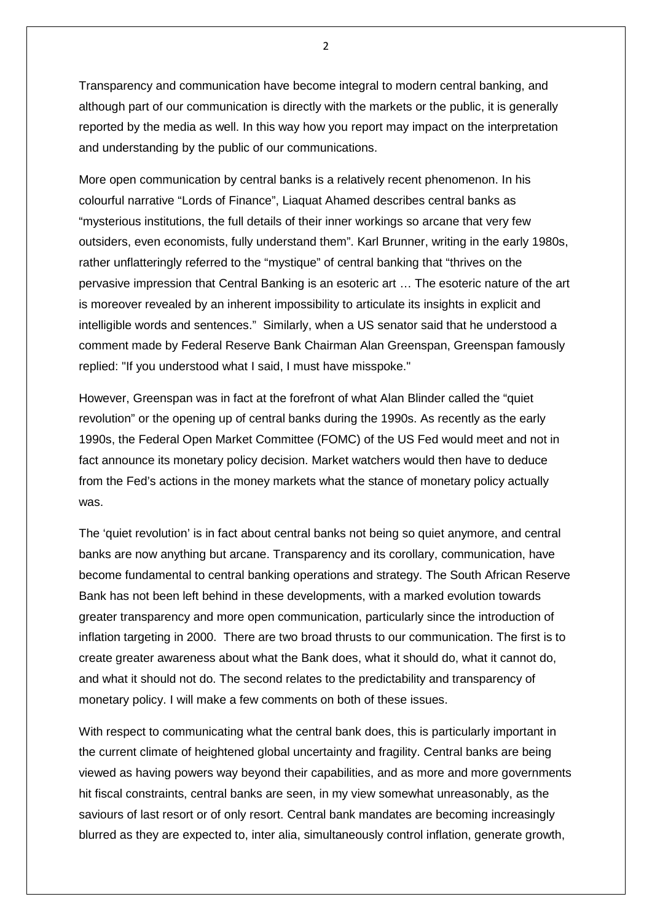Transparency and communication have become integral to modern central banking, and although part of our communication is directly with the markets or the public, it is generally reported by the media as well. In this way how you report may impact on the interpretation and understanding by the public of our communications.

More open communication by central banks is a relatively recent phenomenon. In his colourful narrative "Lords of Finance", Liaquat Ahamed describes central banks as "mysterious institutions, the full details of their inner workings so arcane that very few outsiders, even economists, fully understand them". Karl Brunner, writing in the early 1980s, rather unflatteringly referred to the "mystique" of central banking that "thrives on the pervasive impression that Central Banking is an esoteric art … The esoteric nature of the art is moreover revealed by an inherent impossibility to articulate its insights in explicit and intelligible words and sentences." Similarly, when a US senator said that he understood a comment made by Federal Reserve Bank Chairman Alan Greenspan, Greenspan famously replied: "If you understood what I said, I must have misspoke."

However, Greenspan was in fact at the forefront of what Alan Blinder called the "quiet revolution" or the opening up of central banks during the 1990s. As recently as the early 1990s, the Federal Open Market Committee (FOMC) of the US Fed would meet and not in fact announce its monetary policy decision. Market watchers would then have to deduce from the Fed's actions in the money markets what the stance of monetary policy actually was.

The 'quiet revolution' is in fact about central banks not being so quiet anymore, and central banks are now anything but arcane. Transparency and its corollary, communication, have become fundamental to central banking operations and strategy. The South African Reserve Bank has not been left behind in these developments, with a marked evolution towards greater transparency and more open communication, particularly since the introduction of inflation targeting in 2000. There are two broad thrusts to our communication. The first is to create greater awareness about what the Bank does, what it should do, what it cannot do, and what it should not do. The second relates to the predictability and transparency of monetary policy. I will make a few comments on both of these issues.

With respect to communicating what the central bank does, this is particularly important in the current climate of heightened global uncertainty and fragility. Central banks are being viewed as having powers way beyond their capabilities, and as more and more governments hit fiscal constraints, central banks are seen, in my view somewhat unreasonably, as the saviours of last resort or of only resort. Central bank mandates are becoming increasingly blurred as they are expected to, inter alia, simultaneously control inflation, generate growth,

 $\overline{2}$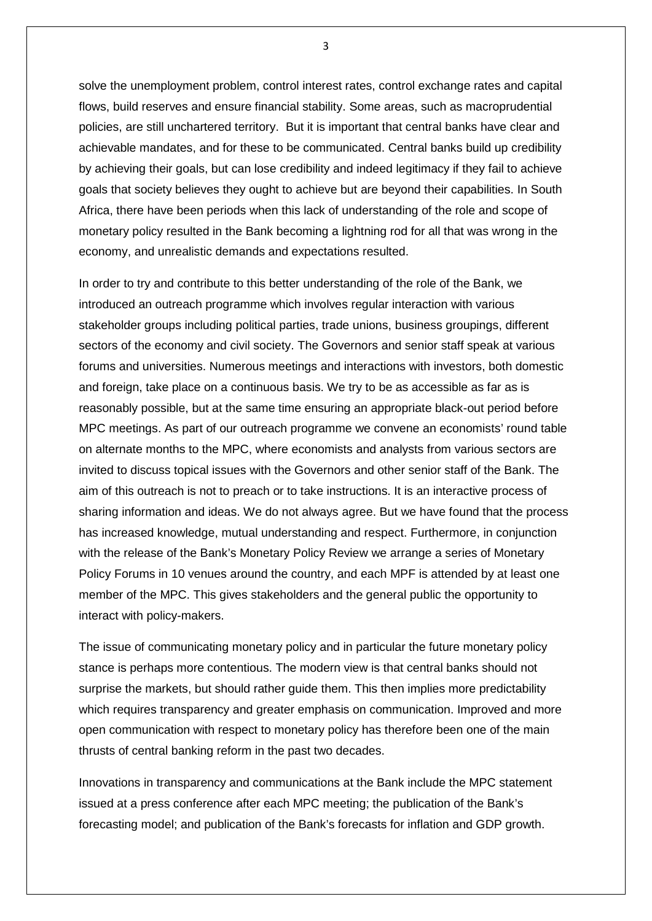solve the unemployment problem, control interest rates, control exchange rates and capital flows, build reserves and ensure financial stability. Some areas, such as macroprudential policies, are still unchartered territory. But it is important that central banks have clear and achievable mandates, and for these to be communicated. Central banks build up credibility by achieving their goals, but can lose credibility and indeed legitimacy if they fail to achieve goals that society believes they ought to achieve but are beyond their capabilities. In South Africa, there have been periods when this lack of understanding of the role and scope of monetary policy resulted in the Bank becoming a lightning rod for all that was wrong in the economy, and unrealistic demands and expectations resulted.

In order to try and contribute to this better understanding of the role of the Bank, we introduced an outreach programme which involves regular interaction with various stakeholder groups including political parties, trade unions, business groupings, different sectors of the economy and civil society. The Governors and senior staff speak at various forums and universities. Numerous meetings and interactions with investors, both domestic and foreign, take place on a continuous basis. We try to be as accessible as far as is reasonably possible, but at the same time ensuring an appropriate black-out period before MPC meetings. As part of our outreach programme we convene an economists' round table on alternate months to the MPC, where economists and analysts from various sectors are invited to discuss topical issues with the Governors and other senior staff of the Bank. The aim of this outreach is not to preach or to take instructions. It is an interactive process of sharing information and ideas. We do not always agree. But we have found that the process has increased knowledge, mutual understanding and respect. Furthermore, in conjunction with the release of the Bank's Monetary Policy Review we arrange a series of Monetary Policy Forums in 10 venues around the country, and each MPF is attended by at least one member of the MPC. This gives stakeholders and the general public the opportunity to interact with policy-makers.

The issue of communicating monetary policy and in particular the future monetary policy stance is perhaps more contentious. The modern view is that central banks should not surprise the markets, but should rather guide them. This then implies more predictability which requires transparency and greater emphasis on communication. Improved and more open communication with respect to monetary policy has therefore been one of the main thrusts of central banking reform in the past two decades.

Innovations in transparency and communications at the Bank include the MPC statement issued at a press conference after each MPC meeting; the publication of the Bank's forecasting model; and publication of the Bank's forecasts for inflation and GDP growth.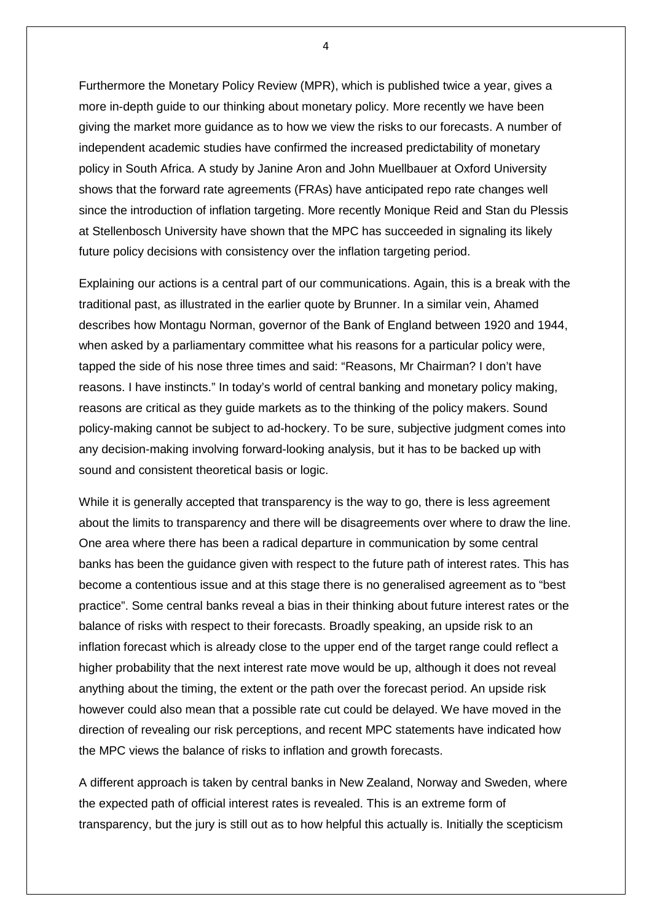Furthermore the Monetary Policy Review (MPR), which is published twice a year, gives a more in-depth guide to our thinking about monetary policy. More recently we have been giving the market more guidance as to how we view the risks to our forecasts. A number of independent academic studies have confirmed the increased predictability of monetary policy in South Africa. A study by Janine Aron and John Muellbauer at Oxford University shows that the forward rate agreements (FRAs) have anticipated repo rate changes well since the introduction of inflation targeting. More recently Monique Reid and Stan du Plessis at Stellenbosch University have shown that the MPC has succeeded in signaling its likely future policy decisions with consistency over the inflation targeting period.

Explaining our actions is a central part of our communications. Again, this is a break with the traditional past, as illustrated in the earlier quote by Brunner. In a similar vein, Ahamed describes how Montagu Norman, governor of the Bank of England between 1920 and 1944, when asked by a parliamentary committee what his reasons for a particular policy were, tapped the side of his nose three times and said: "Reasons, Mr Chairman? I don't have reasons. I have instincts." In today's world of central banking and monetary policy making, reasons are critical as they guide markets as to the thinking of the policy makers. Sound policy-making cannot be subject to ad-hockery. To be sure, subjective judgment comes into any decision-making involving forward-looking analysis, but it has to be backed up with sound and consistent theoretical basis or logic.

While it is generally accepted that transparency is the way to go, there is less agreement about the limits to transparency and there will be disagreements over where to draw the line. One area where there has been a radical departure in communication by some central banks has been the guidance given with respect to the future path of interest rates. This has become a contentious issue and at this stage there is no generalised agreement as to "best practice". Some central banks reveal a bias in their thinking about future interest rates or the balance of risks with respect to their forecasts. Broadly speaking, an upside risk to an inflation forecast which is already close to the upper end of the target range could reflect a higher probability that the next interest rate move would be up, although it does not reveal anything about the timing, the extent or the path over the forecast period. An upside risk however could also mean that a possible rate cut could be delayed. We have moved in the direction of revealing our risk perceptions, and recent MPC statements have indicated how the MPC views the balance of risks to inflation and growth forecasts.

A different approach is taken by central banks in New Zealand, Norway and Sweden, where the expected path of official interest rates is revealed. This is an extreme form of transparency, but the jury is still out as to how helpful this actually is. Initially the scepticism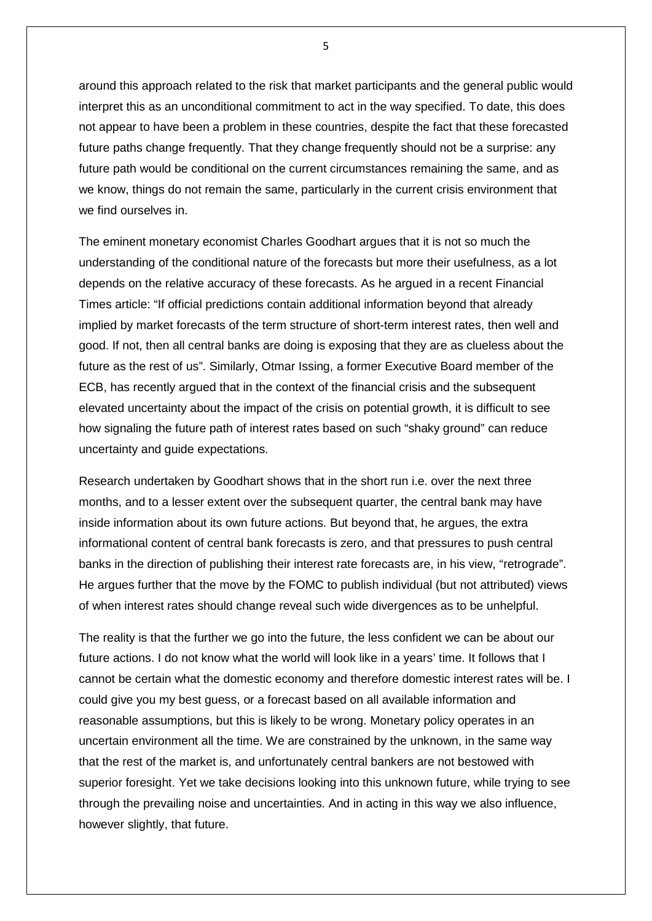around this approach related to the risk that market participants and the general public would interpret this as an unconditional commitment to act in the way specified. To date, this does not appear to have been a problem in these countries, despite the fact that these forecasted future paths change frequently. That they change frequently should not be a surprise: any future path would be conditional on the current circumstances remaining the same, and as we know, things do not remain the same, particularly in the current crisis environment that we find ourselves in.

The eminent monetary economist Charles Goodhart argues that it is not so much the understanding of the conditional nature of the forecasts but more their usefulness, as a lot depends on the relative accuracy of these forecasts. As he argued in a recent Financial Times article: "If official predictions contain additional information beyond that already implied by market forecasts of the term structure of short-term interest rates, then well and good. If not, then all central banks are doing is exposing that they are as clueless about the future as the rest of us". Similarly, Otmar Issing, a former Executive Board member of the ECB, has recently argued that in the context of the financial crisis and the subsequent elevated uncertainty about the impact of the crisis on potential growth, it is difficult to see how signaling the future path of interest rates based on such "shaky ground" can reduce uncertainty and guide expectations.

Research undertaken by Goodhart shows that in the short run i.e. over the next three months, and to a lesser extent over the subsequent quarter, the central bank may have inside information about its own future actions. But beyond that, he argues, the extra informational content of central bank forecasts is zero, and that pressures to push central banks in the direction of publishing their interest rate forecasts are, in his view, "retrograde". He argues further that the move by the FOMC to publish individual (but not attributed) views of when interest rates should change reveal such wide divergences as to be unhelpful.

The reality is that the further we go into the future, the less confident we can be about our future actions. I do not know what the world will look like in a years' time. It follows that I cannot be certain what the domestic economy and therefore domestic interest rates will be. I could give you my best guess, or a forecast based on all available information and reasonable assumptions, but this is likely to be wrong. Monetary policy operates in an uncertain environment all the time. We are constrained by the unknown, in the same way that the rest of the market is, and unfortunately central bankers are not bestowed with superior foresight. Yet we take decisions looking into this unknown future, while trying to see through the prevailing noise and uncertainties. And in acting in this way we also influence, however slightly, that future.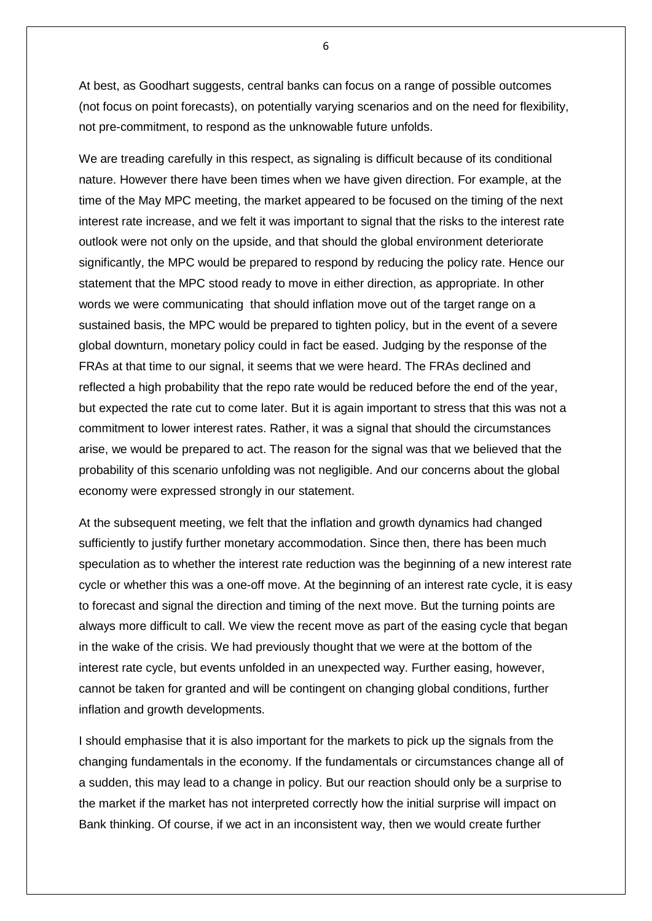At best, as Goodhart suggests, central banks can focus on a range of possible outcomes (not focus on point forecasts), on potentially varying scenarios and on the need for flexibility, not pre-commitment, to respond as the unknowable future unfolds.

We are treading carefully in this respect, as signaling is difficult because of its conditional nature. However there have been times when we have given direction. For example, at the time of the May MPC meeting, the market appeared to be focused on the timing of the next interest rate increase, and we felt it was important to signal that the risks to the interest rate outlook were not only on the upside, and that should the global environment deteriorate significantly, the MPC would be prepared to respond by reducing the policy rate. Hence our statement that the MPC stood ready to move in either direction, as appropriate. In other words we were communicating that should inflation move out of the target range on a sustained basis, the MPC would be prepared to tighten policy, but in the event of a severe global downturn, monetary policy could in fact be eased. Judging by the response of the FRAs at that time to our signal, it seems that we were heard. The FRAs declined and reflected a high probability that the repo rate would be reduced before the end of the year, but expected the rate cut to come later. But it is again important to stress that this was not a commitment to lower interest rates. Rather, it was a signal that should the circumstances arise, we would be prepared to act. The reason for the signal was that we believed that the probability of this scenario unfolding was not negligible. And our concerns about the global economy were expressed strongly in our statement.

At the subsequent meeting, we felt that the inflation and growth dynamics had changed sufficiently to justify further monetary accommodation. Since then, there has been much speculation as to whether the interest rate reduction was the beginning of a new interest rate cycle or whether this was a one-off move. At the beginning of an interest rate cycle, it is easy to forecast and signal the direction and timing of the next move. But the turning points are always more difficult to call. We view the recent move as part of the easing cycle that began in the wake of the crisis. We had previously thought that we were at the bottom of the interest rate cycle, but events unfolded in an unexpected way. Further easing, however, cannot be taken for granted and will be contingent on changing global conditions, further inflation and growth developments.

I should emphasise that it is also important for the markets to pick up the signals from the changing fundamentals in the economy. If the fundamentals or circumstances change all of a sudden, this may lead to a change in policy. But our reaction should only be a surprise to the market if the market has not interpreted correctly how the initial surprise will impact on Bank thinking. Of course, if we act in an inconsistent way, then we would create further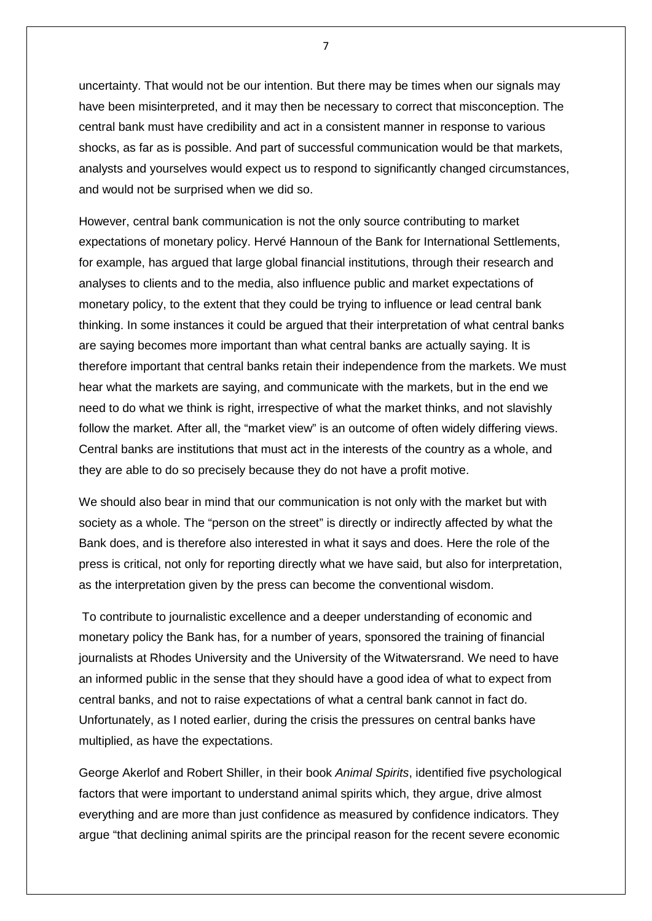uncertainty. That would not be our intention. But there may be times when our signals may have been misinterpreted, and it may then be necessary to correct that misconception. The central bank must have credibility and act in a consistent manner in response to various shocks, as far as is possible. And part of successful communication would be that markets, analysts and yourselves would expect us to respond to significantly changed circumstances, and would not be surprised when we did so.

However, central bank communication is not the only source contributing to market expectations of monetary policy. Hervé Hannoun of the Bank for International Settlements, for example, has argued that large global financial institutions, through their research and analyses to clients and to the media, also influence public and market expectations of monetary policy, to the extent that they could be trying to influence or lead central bank thinking. In some instances it could be argued that their interpretation of what central banks are saying becomes more important than what central banks are actually saying. It is therefore important that central banks retain their independence from the markets. We must hear what the markets are saying, and communicate with the markets, but in the end we need to do what we think is right, irrespective of what the market thinks, and not slavishly follow the market. After all, the "market view" is an outcome of often widely differing views. Central banks are institutions that must act in the interests of the country as a whole, and they are able to do so precisely because they do not have a profit motive.

We should also bear in mind that our communication is not only with the market but with society as a whole. The "person on the street" is directly or indirectly affected by what the Bank does, and is therefore also interested in what it says and does. Here the role of the press is critical, not only for reporting directly what we have said, but also for interpretation, as the interpretation given by the press can become the conventional wisdom.

To contribute to journalistic excellence and a deeper understanding of economic and monetary policy the Bank has, for a number of years, sponsored the training of financial journalists at Rhodes University and the University of the Witwatersrand. We need to have an informed public in the sense that they should have a good idea of what to expect from central banks, and not to raise expectations of what a central bank cannot in fact do. Unfortunately, as I noted earlier, during the crisis the pressures on central banks have multiplied, as have the expectations.

George Akerlof and Robert Shiller, in their book *Animal Spirits*, identified five psychological factors that were important to understand animal spirits which, they argue, drive almost everything and are more than just confidence as measured by confidence indicators. They argue "that declining animal spirits are the principal reason for the recent severe economic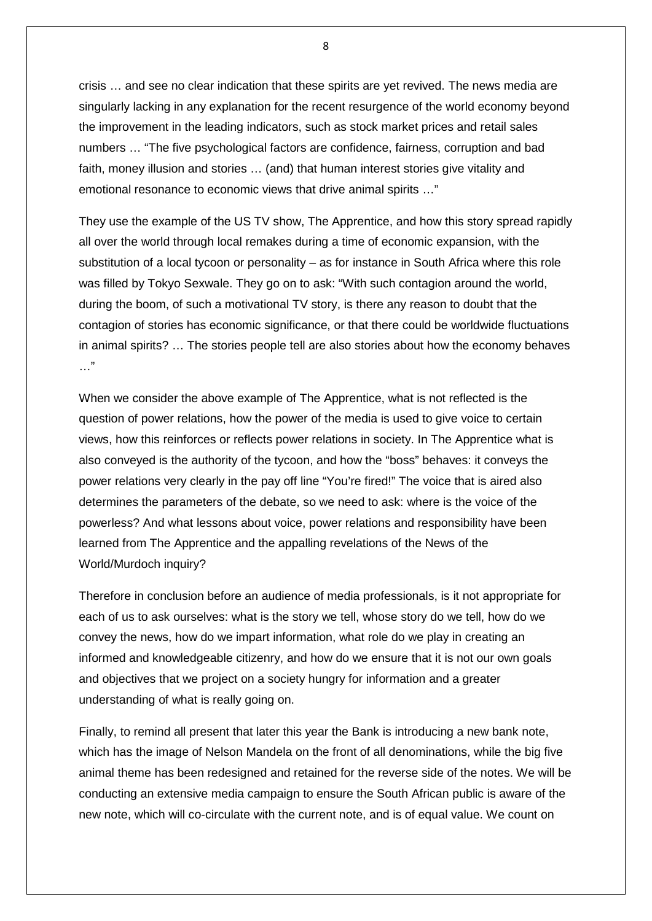crisis … and see no clear indication that these spirits are yet revived. The news media are singularly lacking in any explanation for the recent resurgence of the world economy beyond the improvement in the leading indicators, such as stock market prices and retail sales numbers … "The five psychological factors are confidence, fairness, corruption and bad faith, money illusion and stories … (and) that human interest stories give vitality and emotional resonance to economic views that drive animal spirits …"

They use the example of the US TV show, The Apprentice, and how this story spread rapidly all over the world through local remakes during a time of economic expansion, with the substitution of a local tycoon or personality – as for instance in South Africa where this role was filled by Tokyo Sexwale. They go on to ask: "With such contagion around the world, during the boom, of such a motivational TV story, is there any reason to doubt that the contagion of stories has economic significance, or that there could be worldwide fluctuations in animal spirits? … The stories people tell are also stories about how the economy behaves …"

When we consider the above example of The Apprentice, what is not reflected is the question of power relations, how the power of the media is used to give voice to certain views, how this reinforces or reflects power relations in society. In The Apprentice what is also conveyed is the authority of the tycoon, and how the "boss" behaves: it conveys the power relations very clearly in the pay off line "You're fired!" The voice that is aired also determines the parameters of the debate, so we need to ask: where is the voice of the powerless? And what lessons about voice, power relations and responsibility have been learned from The Apprentice and the appalling revelations of the News of the World/Murdoch inquiry?

Therefore in conclusion before an audience of media professionals, is it not appropriate for each of us to ask ourselves: what is the story we tell, whose story do we tell, how do we convey the news, how do we impart information, what role do we play in creating an informed and knowledgeable citizenry, and how do we ensure that it is not our own goals and objectives that we project on a society hungry for information and a greater understanding of what is really going on.

Finally, to remind all present that later this year the Bank is introducing a new bank note, which has the image of Nelson Mandela on the front of all denominations, while the big five animal theme has been redesigned and retained for the reverse side of the notes. We will be conducting an extensive media campaign to ensure the South African public is aware of the new note, which will co-circulate with the current note, and is of equal value. We count on